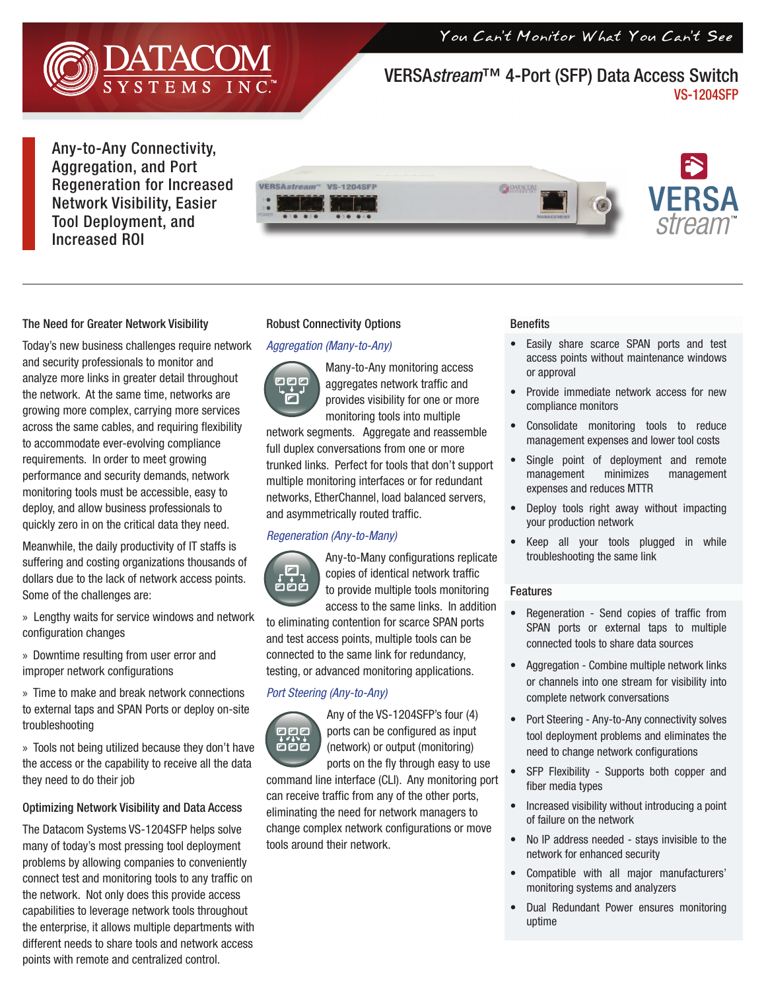You Can't Monitor What You Can't See



## VERSA*stream*™ 4-Port (SFP) Data Access Switch VS-1204SFP

Any-to-Any Connectivity, Aggregation, and Port Regeneration for Increased Network Visibility, Easier Tool Deployment, and Increased ROI



## The Need for Greater Network Visibility

Today's new business challenges require network and security professionals to monitor and analyze more links in greater detail throughout the network. At the same time, networks are growing more complex, carrying more services across the same cables, and requiring flexibility to accommodate ever-evolving compliance requirements. In order to meet growing performance and security demands, network monitoring tools must be accessible, easy to deploy, and allow business professionals to quickly zero in on the critical data they need.

Meanwhile, the daily productivity of IT staffs is suffering and costing organizations thousands of dollars due to the lack of network access points. Some of the challenges are:

» Lengthy waits for service windows and network configuration changes

» Downtime resulting from user error and improper network configurations

» Time to make and break network connections to external taps and SPAN Ports or deploy on-site troubleshooting

» Tools not being utilized because they don't have the access or the capability to receive all the data they need to do their job

## Optimizing Network Visibility and Data Access

The Datacom Systems VS-1204SFP helps solve many of today's most pressing tool deployment problems by allowing companies to conveniently connect test and monitoring tools to any traffic on the network. Not only does this provide access capabilities to leverage network tools throughout the enterprise, it allows multiple departments with different needs to share tools and network access points with remote and centralized control.

#### Robust Connectivity Options

#### *Aggregation (Many-to-Any)*

Many-to-Any monitoring access 000 aggregates network traffic and ⊡ provides visibility for one or more monitoring tools into multiple network segments. Aggregate and reassemble full duplex conversations from one or more trunked links. Perfect for tools that don't support multiple monitoring interfaces or for redundant networks, EtherChannel, load balanced servers, and asymmetrically routed traffic.

### *Regeneration (Any-to-Many)*



Any-to-Many configurations replicate copies of identical network traffic to provide multiple tools monitoring access to the same links. In addition

to eliminating contention for scarce SPAN ports and test access points, multiple tools can be connected to the same link for redundancy, testing, or advanced monitoring applications.

#### *Port Steering (Any-to-Any)*



Any of the VS-1204SFP's four (4) ports can be configured as input (network) or output (monitoring) ports on the fly through easy to use

command line interface (CLI). Any monitoring port can receive traffic from any of the other ports, eliminating the need for network managers to change complex network configurations or move tools around their network.

#### **Benefits**

- Easily share scarce SPAN ports and test access points without maintenance windows or approval
- Provide immediate network access for new compliance monitors
- Consolidate monitoring tools to reduce management expenses and lower tool costs
- Single point of deployment and remote management minimizes management expenses and reduces MTTR
- Deploy tools right away without impacting your production network
- Keep all your tools plugged in while troubleshooting the same link

#### Features

- Regeneration Send copies of traffic from SPAN ports or external taps to multiple connected tools to share data sources
- Aggregation Combine multiple network links or channels into one stream for visibility into complete network conversations
- Port Steering Any-to-Any connectivity solves tool deployment problems and eliminates the need to change network configurations
- SFP Flexibility Supports both copper and fiber media types
- Increased visibility without introducing a point of failure on the network
- No IP address needed stays invisible to the network for enhanced security
- Compatible with all major manufacturers' monitoring systems and analyzers
- Dual Redundant Power ensures monitoring uptime